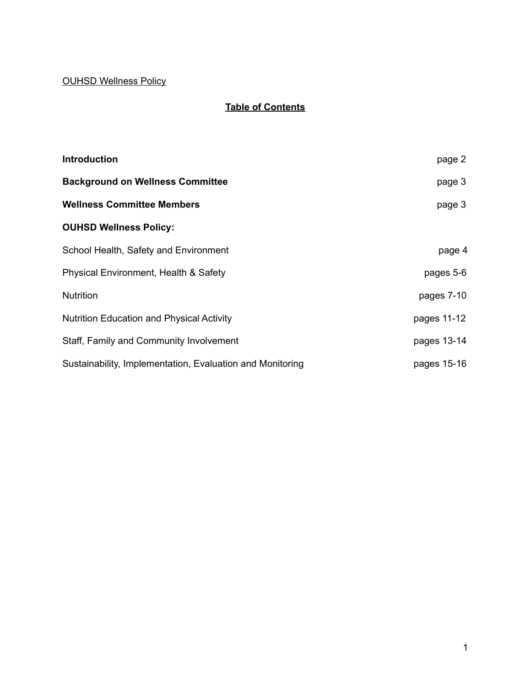## OUHSD Wellness Policy

# **Table of Contents**

| <b>Introduction</b>                                       | page 2      |
|-----------------------------------------------------------|-------------|
| <b>Background on Wellness Committee</b>                   | page 3      |
| <b>Wellness Committee Members</b>                         | page 3      |
| <b>OUHSD Wellness Policy:</b>                             |             |
| School Health, Safety and Environment                     | page 4      |
| Physical Environment, Health & Safety                     | pages 5-6   |
| <b>Nutrition</b>                                          | pages 7-10  |
| <b>Nutrition Education and Physical Activity</b>          | pages 11-12 |
| Staff, Family and Community Involvement                   | pages 13-14 |
| Sustainability, Implementation, Evaluation and Monitoring | pages 15-16 |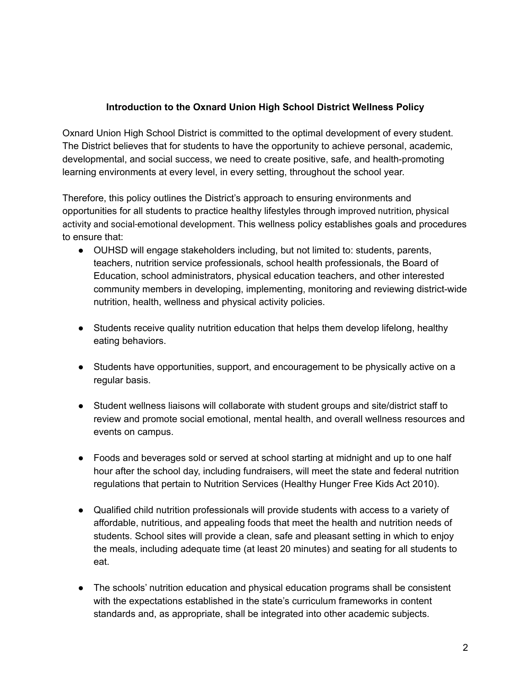#### **Introduction to the Oxnard Union High School District Wellness Policy**

Oxnard Union High School District is committed to the optimal development of every student. The District believes that for students to have the opportunity to achieve personal, academic, developmental, and social success, we need to create positive, safe, and health-promoting learning environments at every level, in every setting, throughout the school year.

Therefore, this policy outlines the District's approach to ensuring environments and opportunities for all students to practice healthy lifestyles through improved nutrition, physical activity and social-emotional development. This wellness policy establishes goals and procedures to ensure that:

- OUHSD will engage stakeholders including, but not limited to: students, parents, teachers, nutrition service professionals, school health professionals, the Board of Education, school administrators, physical education teachers, and other interested community members in developing, implementing, monitoring and reviewing district-wide nutrition, health, wellness and physical activity policies.
- Students receive quality nutrition education that helps them develop lifelong, healthy eating behaviors.
- Students have opportunities, support, and encouragement to be physically active on a regular basis.
- Student wellness liaisons will collaborate with student groups and site/district staff to review and promote social emotional, mental health, and overall wellness resources and events on campus.
- Foods and beverages sold or served at school starting at midnight and up to one half hour after the school day, including fundraisers, will meet the state and federal nutrition regulations that pertain to Nutrition Services (Healthy Hunger Free Kids Act 2010).
- Qualified child nutrition professionals will provide students with access to a variety of affordable, nutritious, and appealing foods that meet the health and nutrition needs of students. School sites will provide a clean, safe and pleasant setting in which to enjoy the meals, including adequate time (at least 20 minutes) and seating for all students to eat.
- The schools' nutrition education and physical education programs shall be consistent with the expectations established in the state's curriculum frameworks in content standards and, as appropriate, shall be integrated into other academic subjects.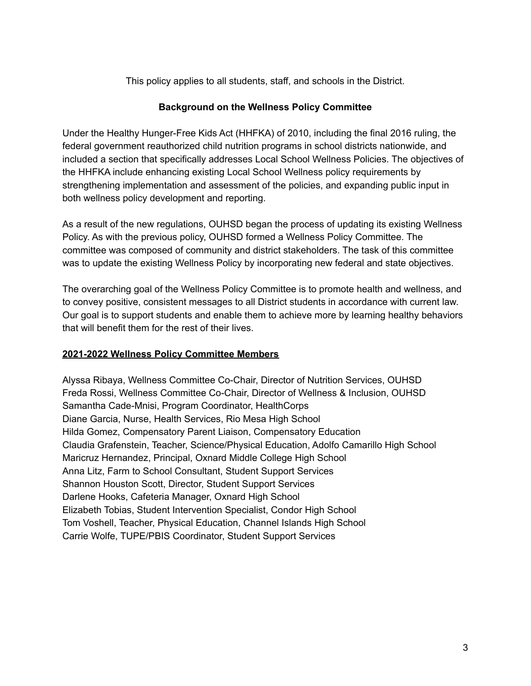This policy applies to all students, staff, and schools in the District.

#### **Background on the Wellness Policy Committee**

Under the Healthy Hunger-Free Kids Act (HHFKA) of 2010, including the final 2016 ruling, the federal government reauthorized child nutrition programs in school districts nationwide, and included a section that specifically addresses Local School Wellness Policies. The objectives of the HHFKA include enhancing existing Local School Wellness policy requirements by strengthening implementation and assessment of the policies, and expanding public input in both wellness policy development and reporting.

As a result of the new regulations, OUHSD began the process of updating its existing Wellness Policy. As with the previous policy, OUHSD formed a Wellness Policy Committee. The committee was composed of community and district stakeholders. The task of this committee was to update the existing Wellness Policy by incorporating new federal and state objectives.

The overarching goal of the Wellness Policy Committee is to promote health and wellness, and to convey positive, consistent messages to all District students in accordance with current law. Our goal is to support students and enable them to achieve more by learning healthy behaviors that will benefit them for the rest of their lives.

#### **2021-2022 Wellness Policy Committee Members**

Alyssa Ribaya, Wellness Committee Co-Chair, Director of Nutrition Services, OUHSD Freda Rossi, Wellness Committee Co-Chair, Director of Wellness & Inclusion, OUHSD Samantha Cade-Mnisi, Program Coordinator, HealthCorps Diane Garcia, Nurse, Health Services, Rio Mesa High School Hilda Gomez, Compensatory Parent Liaison, Compensatory Education Claudia Grafenstein, Teacher, Science/Physical Education, Adolfo Camarillo High School Maricruz Hernandez, Principal, Oxnard Middle College High School Anna Litz, Farm to School Consultant, Student Support Services Shannon Houston Scott, Director, Student Support Services Darlene Hooks, Cafeteria Manager, Oxnard High School Elizabeth Tobias, Student Intervention Specialist, Condor High School Tom Voshell, Teacher, Physical Education, Channel Islands High School Carrie Wolfe, TUPE/PBIS Coordinator, Student Support Services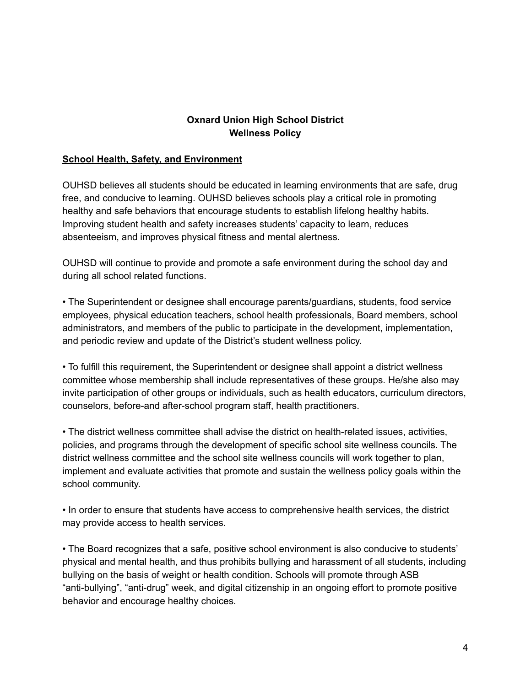### **Oxnard Union High School District Wellness Policy**

#### **School Health, Safety, and Environment**

OUHSD believes all students should be educated in learning environments that are safe, drug free, and conducive to learning. OUHSD believes schools play a critical role in promoting healthy and safe behaviors that encourage students to establish lifelong healthy habits. Improving student health and safety increases students' capacity to learn, reduces absenteeism, and improves physical fitness and mental alertness.

OUHSD will continue to provide and promote a safe environment during the school day and during all school related functions.

• The Superintendent or designee shall encourage parents/guardians, students, food service employees, physical education teachers, school health professionals, Board members, school administrators, and members of the public to participate in the development, implementation, and periodic review and update of the District's student wellness policy.

• To fulfill this requirement, the Superintendent or designee shall appoint a district wellness committee whose membership shall include representatives of these groups. He/she also may invite participation of other groups or individuals, such as health educators, curriculum directors, counselors, before-and after-school program staff, health practitioners.

• The district wellness committee shall advise the district on health-related issues, activities, policies, and programs through the development of specific school site wellness councils. The district wellness committee and the school site wellness councils will work together to plan, implement and evaluate activities that promote and sustain the wellness policy goals within the school community.

• In order to ensure that students have access to comprehensive health services, the district may provide access to health services.

• The Board recognizes that a safe, positive school environment is also conducive to students' physical and mental health, and thus prohibits bullying and harassment of all students, including bullying on the basis of weight or health condition. Schools will promote through ASB "anti-bullying", "anti-drug" week, and digital citizenship in an ongoing effort to promote positive behavior and encourage healthy choices.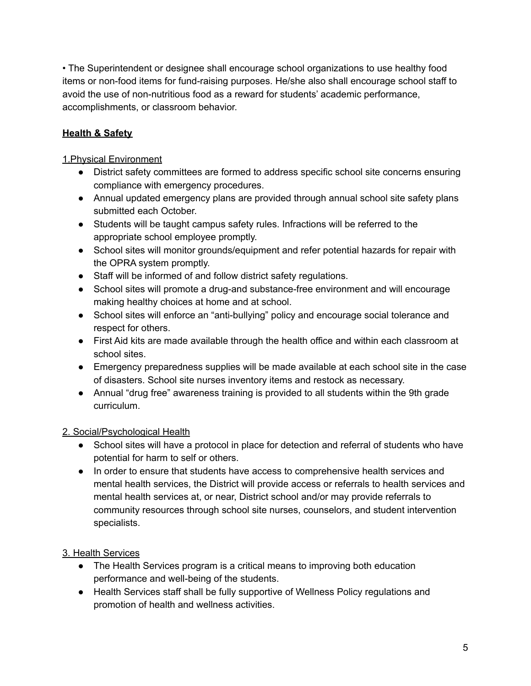• The Superintendent or designee shall encourage school organizations to use healthy food items or non-food items for fund-raising purposes. He/she also shall encourage school staff to avoid the use of non-nutritious food as a reward for students' academic performance, accomplishments, or classroom behavior.

## **Health & Safety**

### 1.Physical Environment

- District safety committees are formed to address specific school site concerns ensuring compliance with emergency procedures.
- Annual updated emergency plans are provided through annual school site safety plans submitted each October.
- Students will be taught campus safety rules. Infractions will be referred to the appropriate school employee promptly.
- School sites will monitor grounds/equipment and refer potential hazards for repair with the OPRA system promptly.
- Staff will be informed of and follow district safety regulations.
- School sites will promote a drug-and substance-free environment and will encourage making healthy choices at home and at school.
- School sites will enforce an "anti-bullying" policy and encourage social tolerance and respect for others.
- First Aid kits are made available through the health office and within each classroom at school sites.
- Emergency preparedness supplies will be made available at each school site in the case of disasters. School site nurses inventory items and restock as necessary.
- Annual "drug free" awareness training is provided to all students within the 9th grade curriculum.

## 2. Social/Psychological Health

- School sites will have a protocol in place for detection and referral of students who have potential for harm to self or others.
- In order to ensure that students have access to comprehensive health services and mental health services, the District will provide access or referrals to health services and mental health services at, or near, District school and/or may provide referrals to community resources through school site nurses, counselors, and student intervention specialists.

## 3. Health Services

- The Health Services program is a critical means to improving both education performance and well-being of the students.
- Health Services staff shall be fully supportive of Wellness Policy regulations and promotion of health and wellness activities.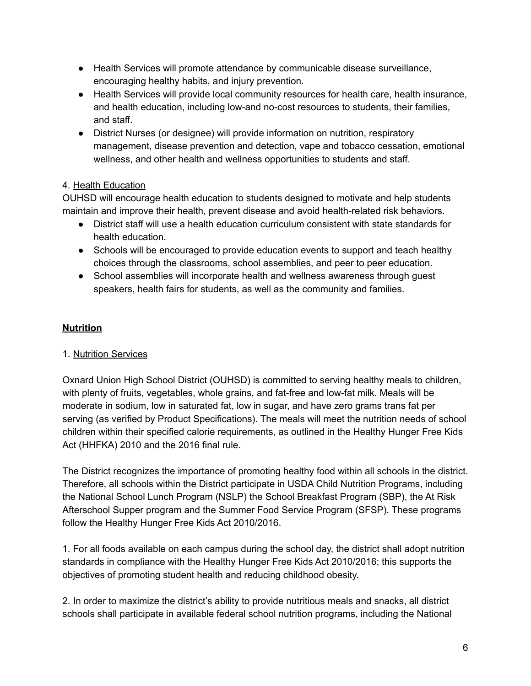- Health Services will promote attendance by communicable disease surveillance, encouraging healthy habits, and injury prevention.
- Health Services will provide local community resources for health care, health insurance, and health education, including low-and no-cost resources to students, their families, and staff.
- District Nurses (or designee) will provide information on nutrition, respiratory management, disease prevention and detection, vape and tobacco cessation, emotional wellness, and other health and wellness opportunities to students and staff.

## 4. Health Education

OUHSD will encourage health education to students designed to motivate and help students maintain and improve their health, prevent disease and avoid health-related risk behaviors.

- District staff will use a health education curriculum consistent with state standards for health education.
- Schools will be encouraged to provide education events to support and teach healthy choices through the classrooms, school assemblies, and peer to peer education.
- School assemblies will incorporate health and wellness awareness through quest speakers, health fairs for students, as well as the community and families.

## **Nutrition**

## 1. Nutrition Services

Oxnard Union High School District (OUHSD) is committed to serving healthy meals to children, with plenty of fruits, vegetables, whole grains, and fat-free and low-fat milk. Meals will be moderate in sodium, low in saturated fat, low in sugar, and have zero grams trans fat per serving (as verified by Product Specifications). The meals will meet the nutrition needs of school children within their specified calorie requirements, as outlined in the Healthy Hunger Free Kids Act (HHFKA) 2010 and the 2016 final rule.

The District recognizes the importance of promoting healthy food within all schools in the district. Therefore, all schools within the District participate in USDA Child Nutrition Programs, including the National School Lunch Program (NSLP) the School Breakfast Program (SBP), the At Risk Afterschool Supper program and the Summer Food Service Program (SFSP). These programs follow the Healthy Hunger Free Kids Act 2010/2016.

1. For all foods available on each campus during the school day, the district shall adopt nutrition standards in compliance with the Healthy Hunger Free Kids Act 2010/2016; this supports the objectives of promoting student health and reducing childhood obesity.

2. In order to maximize the district's ability to provide nutritious meals and snacks, all district schools shall participate in available federal school nutrition programs, including the National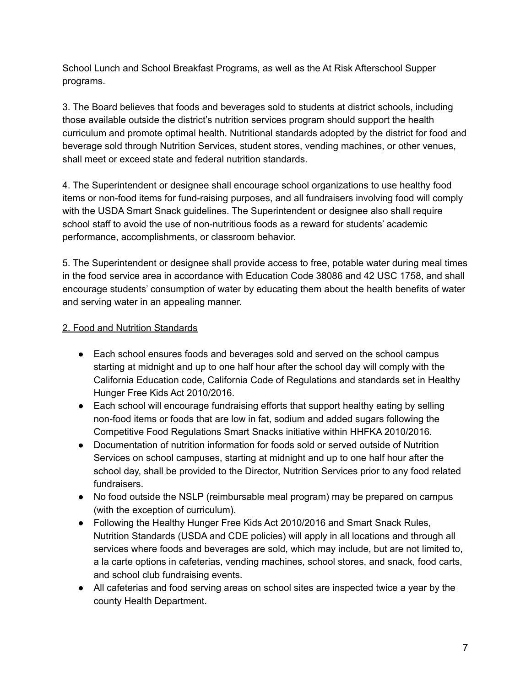School Lunch and School Breakfast Programs, as well as the At Risk Afterschool Supper programs.

3. The Board believes that foods and beverages sold to students at district schools, including those available outside the district's nutrition services program should support the health curriculum and promote optimal health. Nutritional standards adopted by the district for food and beverage sold through Nutrition Services, student stores, vending machines, or other venues, shall meet or exceed state and federal nutrition standards.

4. The Superintendent or designee shall encourage school organizations to use healthy food items or non-food items for fund-raising purposes, and all fundraisers involving food will comply with the USDA Smart Snack guidelines. The Superintendent or designee also shall require school staff to avoid the use of non-nutritious foods as a reward for students' academic performance, accomplishments, or classroom behavior.

5. The Superintendent or designee shall provide access to free, potable water during meal times in the food service area in accordance with Education Code 38086 and 42 USC 1758, and shall encourage students' consumption of water by educating them about the health benefits of water and serving water in an appealing manner.

#### 2. Food and Nutrition Standards

- Each school ensures foods and beverages sold and served on the school campus starting at midnight and up to one half hour after the school day will comply with the California Education code, California Code of Regulations and standards set in Healthy Hunger Free Kids Act 2010/2016.
- Each school will encourage fundraising efforts that support healthy eating by selling non-food items or foods that are low in fat, sodium and added sugars following the Competitive Food Regulations Smart Snacks initiative within HHFKA 2010/2016.
- Documentation of nutrition information for foods sold or served outside of Nutrition Services on school campuses, starting at midnight and up to one half hour after the school day, shall be provided to the Director, Nutrition Services prior to any food related fundraisers.
- No food outside the NSLP (reimbursable meal program) may be prepared on campus (with the exception of curriculum).
- Following the Healthy Hunger Free Kids Act 2010/2016 and Smart Snack Rules, Nutrition Standards (USDA and CDE policies) will apply in all locations and through all services where foods and beverages are sold, which may include, but are not limited to, a la carte options in cafeterias, vending machines, school stores, and snack, food carts, and school club fundraising events.
- All cafeterias and food serving areas on school sites are inspected twice a year by the county Health Department.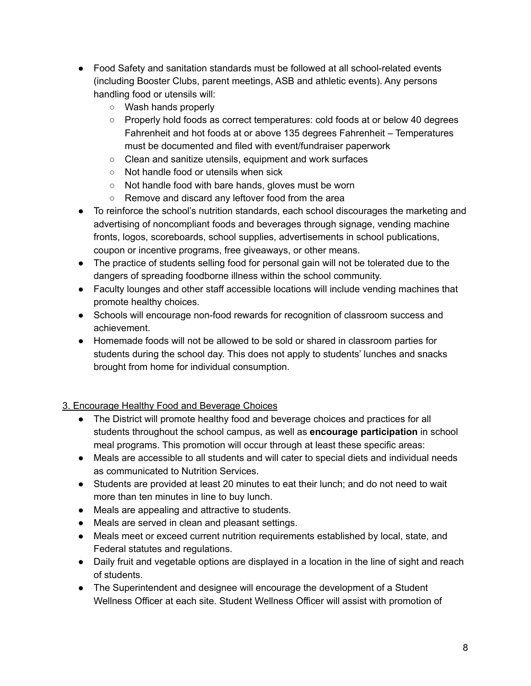- Food Safety and sanitation standards must be followed at all school-related events (including Booster Clubs, parent meetings, ASB and athletic events). Any persons handling food or utensils will:
	- Wash hands properly
	- Properly hold foods as correct temperatures: cold foods at or below 40 degrees Fahrenheit and hot foods at or above 135 degrees Fahrenheit – Temperatures must be documented and filed with event/fundraiser paperwork
	- Clean and sanitize utensils, equipment and work surfaces
	- Not handle food or utensils when sick
	- Not handle food with bare hands, gloves must be worn
	- Remove and discard any leftover food from the area
- To reinforce the school's nutrition standards, each school discourages the marketing and advertising of noncompliant foods and beverages through signage, vending machine fronts, logos, scoreboards, school supplies, advertisements in school publications, coupon or incentive programs, free giveaways, or other means.
- The practice of students selling food for personal gain will not be tolerated due to the dangers of spreading foodborne illness within the school community.
- Faculty lounges and other staff accessible locations will include vending machines that promote healthy choices.
- Schools will encourage non-food rewards for recognition of classroom success and achievement.
- Homemade foods will not be allowed to be sold or shared in classroom parties for students during the school day. This does not apply to students' lunches and snacks brought from home for individual consumption.

# 3. Encourage Healthy Food and Beverage Choices

- The District will promote healthy food and beverage choices and practices for all students throughout the school campus, as well as **encourage participation** in school meal programs. This promotion will occur through at least these specific areas:
- Meals are accessible to all students and will cater to special diets and individual needs as communicated to Nutrition Services.
- Students are provided at least 20 minutes to eat their lunch; and do not need to wait more than ten minutes in line to buy lunch.
- Meals are appealing and attractive to students.
- Meals are served in clean and pleasant settings.
- Meals meet or exceed current nutrition requirements established by local, state, and Federal statutes and regulations.
- Daily fruit and vegetable options are displayed in a location in the line of sight and reach of students.
- The Superintendent and designee will encourage the development of a Student Wellness Officer at each site. Student Wellness Officer will assist with promotion of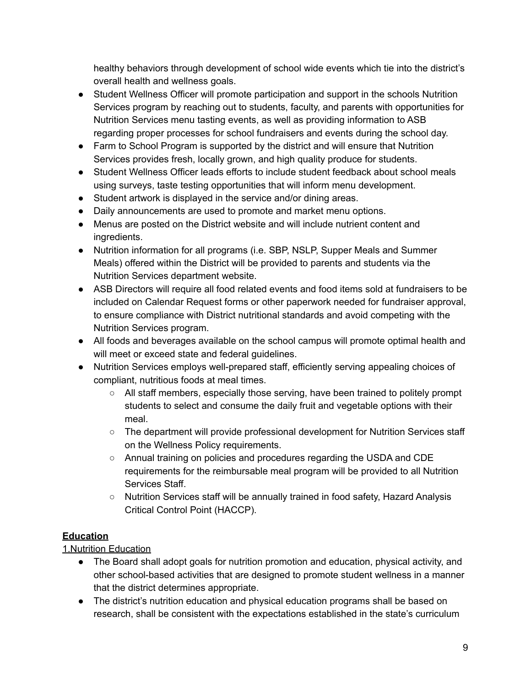healthy behaviors through development of school wide events which tie into the district's overall health and wellness goals.

- Student Wellness Officer will promote participation and support in the schools Nutrition Services program by reaching out to students, faculty, and parents with opportunities for Nutrition Services menu tasting events, as well as providing information to ASB regarding proper processes for school fundraisers and events during the school day.
- Farm to School Program is supported by the district and will ensure that Nutrition Services provides fresh, locally grown, and high quality produce for students.
- Student Wellness Officer leads efforts to include student feedback about school meals using surveys, taste testing opportunities that will inform menu development.
- Student artwork is displayed in the service and/or dining areas.
- Daily announcements are used to promote and market menu options.
- Menus are posted on the District website and will include nutrient content and ingredients.
- Nutrition information for all programs (i.e. SBP, NSLP, Supper Meals and Summer Meals) offered within the District will be provided to parents and students via the Nutrition Services department website.
- ASB Directors will require all food related events and food items sold at fundraisers to be included on Calendar Request forms or other paperwork needed for fundraiser approval, to ensure compliance with District nutritional standards and avoid competing with the Nutrition Services program.
- All foods and beverages available on the school campus will promote optimal health and will meet or exceed state and federal guidelines.
- Nutrition Services employs well-prepared staff, efficiently serving appealing choices of compliant, nutritious foods at meal times.
	- $\circ$  All staff members, especially those serving, have been trained to politely prompt students to select and consume the daily fruit and vegetable options with their meal.
	- The department will provide professional development for Nutrition Services staff on the Wellness Policy requirements.
	- Annual training on policies and procedures regarding the USDA and CDE requirements for the reimbursable meal program will be provided to all Nutrition Services Staff.
	- Nutrition Services staff will be annually trained in food safety, Hazard Analysis Critical Control Point (HACCP).

## **Education**

# 1.Nutrition Education

- The Board shall adopt goals for nutrition promotion and education, physical activity, and other school-based activities that are designed to promote student wellness in a manner that the district determines appropriate.
- The district's nutrition education and physical education programs shall be based on research, shall be consistent with the expectations established in the state's curriculum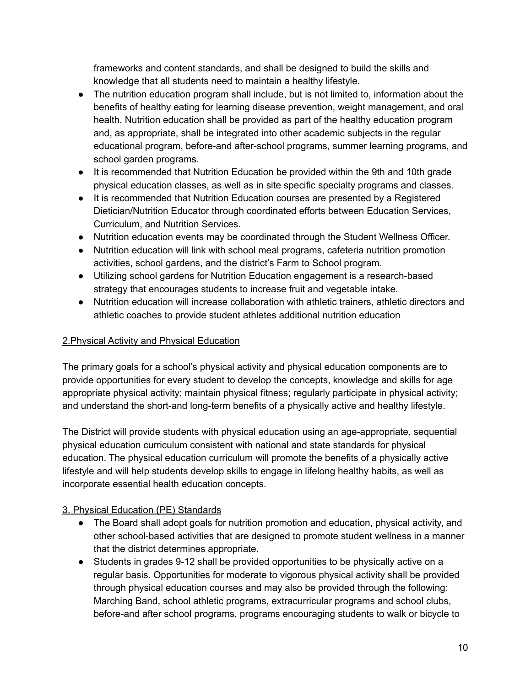frameworks and content standards, and shall be designed to build the skills and knowledge that all students need to maintain a healthy lifestyle.

- The nutrition education program shall include, but is not limited to, information about the benefits of healthy eating for learning disease prevention, weight management, and oral health. Nutrition education shall be provided as part of the healthy education program and, as appropriate, shall be integrated into other academic subjects in the regular educational program, before-and after-school programs, summer learning programs, and school garden programs.
- It is recommended that Nutrition Education be provided within the 9th and 10th grade physical education classes, as well as in site specific specialty programs and classes.
- It is recommended that Nutrition Education courses are presented by a Registered Dietician/Nutrition Educator through coordinated efforts between Education Services, Curriculum, and Nutrition Services.
- Nutrition education events may be coordinated through the Student Wellness Officer.
- Nutrition education will link with school meal programs, cafeteria nutrition promotion activities, school gardens, and the district's Farm to School program.
- Utilizing school gardens for Nutrition Education engagement is a research-based strategy that encourages students to increase fruit and vegetable intake.
- Nutrition education will increase collaboration with athletic trainers, athletic directors and athletic coaches to provide student athletes additional nutrition education

## 2.Physical Activity and Physical Education

The primary goals for a school's physical activity and physical education components are to provide opportunities for every student to develop the concepts, knowledge and skills for age appropriate physical activity; maintain physical fitness; regularly participate in physical activity; and understand the short-and long-term benefits of a physically active and healthy lifestyle.

The District will provide students with physical education using an age-appropriate, sequential physical education curriculum consistent with national and state standards for physical education. The physical education curriculum will promote the benefits of a physically active lifestyle and will help students develop skills to engage in lifelong healthy habits, as well as incorporate essential health education concepts.

## 3. Physical Education (PE) Standards

- The Board shall adopt goals for nutrition promotion and education, physical activity, and other school-based activities that are designed to promote student wellness in a manner that the district determines appropriate.
- Students in grades 9-12 shall be provided opportunities to be physically active on a regular basis. Opportunities for moderate to vigorous physical activity shall be provided through physical education courses and may also be provided through the following: Marching Band, school athletic programs, extracurricular programs and school clubs, before-and after school programs, programs encouraging students to walk or bicycle to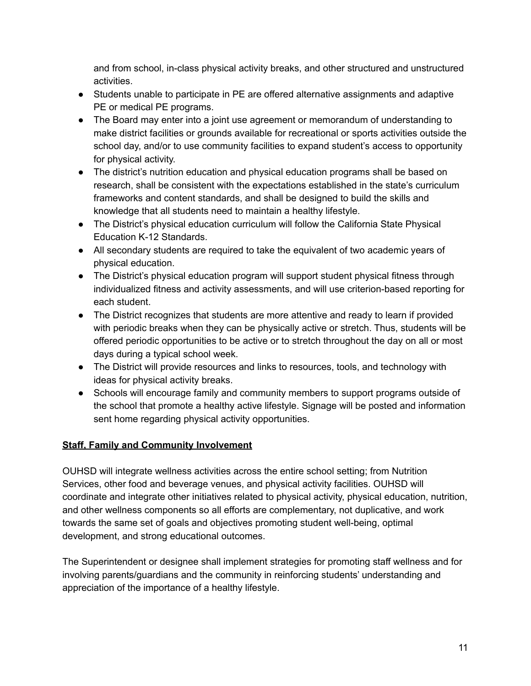and from school, in-class physical activity breaks, and other structured and unstructured activities.

- Students unable to participate in PE are offered alternative assignments and adaptive PE or medical PE programs.
- The Board may enter into a joint use agreement or memorandum of understanding to make district facilities or grounds available for recreational or sports activities outside the school day, and/or to use community facilities to expand student's access to opportunity for physical activity.
- The district's nutrition education and physical education programs shall be based on research, shall be consistent with the expectations established in the state's curriculum frameworks and content standards, and shall be designed to build the skills and knowledge that all students need to maintain a healthy lifestyle.
- The District's physical education curriculum will follow the California State Physical Education K-12 Standards.
- All secondary students are required to take the equivalent of two academic years of physical education.
- The District's physical education program will support student physical fitness through individualized fitness and activity assessments, and will use criterion-based reporting for each student.
- The District recognizes that students are more attentive and ready to learn if provided with periodic breaks when they can be physically active or stretch. Thus, students will be offered periodic opportunities to be active or to stretch throughout the day on all or most days during a typical school week.
- The District will provide resources and links to resources, tools, and technology with ideas for physical activity breaks.
- Schools will encourage family and community members to support programs outside of the school that promote a healthy active lifestyle. Signage will be posted and information sent home regarding physical activity opportunities.

## **Staff, Family and Community Involvement**

OUHSD will integrate wellness activities across the entire school setting; from Nutrition Services, other food and beverage venues, and physical activity facilities. OUHSD will coordinate and integrate other initiatives related to physical activity, physical education, nutrition, and other wellness components so all efforts are complementary, not duplicative, and work towards the same set of goals and objectives promoting student well-being, optimal development, and strong educational outcomes.

The Superintendent or designee shall implement strategies for promoting staff wellness and for involving parents/guardians and the community in reinforcing students' understanding and appreciation of the importance of a healthy lifestyle.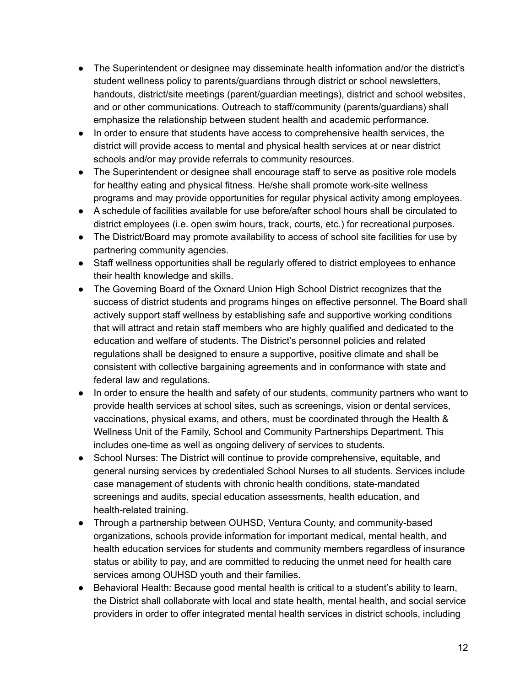- The Superintendent or designee may disseminate health information and/or the district's student wellness policy to parents/guardians through district or school newsletters, handouts, district/site meetings (parent/guardian meetings), district and school websites, and or other communications. Outreach to staff/community (parents/guardians) shall emphasize the relationship between student health and academic performance.
- In order to ensure that students have access to comprehensive health services, the district will provide access to mental and physical health services at or near district schools and/or may provide referrals to community resources.
- The Superintendent or designee shall encourage staff to serve as positive role models for healthy eating and physical fitness. He/she shall promote work-site wellness programs and may provide opportunities for regular physical activity among employees.
- A schedule of facilities available for use before/after school hours shall be circulated to district employees (i.e. open swim hours, track, courts, etc.) for recreational purposes.
- The District/Board may promote availability to access of school site facilities for use by partnering community agencies.
- Staff wellness opportunities shall be regularly offered to district employees to enhance their health knowledge and skills.
- The Governing Board of the Oxnard Union High School District recognizes that the success of district students and programs hinges on effective personnel. The Board shall actively support staff wellness by establishing safe and supportive working conditions that will attract and retain staff members who are highly qualified and dedicated to the education and welfare of students. The District's personnel policies and related regulations shall be designed to ensure a supportive, positive climate and shall be consistent with collective bargaining agreements and in conformance with state and federal law and regulations.
- In order to ensure the health and safety of our students, community partners who want to provide health services at school sites, such as screenings, vision or dental services, vaccinations, physical exams, and others, must be coordinated through the Health & Wellness Unit of the Family, School and Community Partnerships Department. This includes one-time as well as ongoing delivery of services to students.
- School Nurses: The District will continue to provide comprehensive, equitable, and general nursing services by credentialed School Nurses to all students. Services include case management of students with chronic health conditions, state-mandated screenings and audits, special education assessments, health education, and health-related training.
- Through a partnership between OUHSD, Ventura County, and community-based organizations, schools provide information for important medical, mental health, and health education services for students and community members regardless of insurance status or ability to pay, and are committed to reducing the unmet need for health care services among OUHSD youth and their families.
- Behavioral Health: Because good mental health is critical to a student's ability to learn, the District shall collaborate with local and state health, mental health, and social service providers in order to offer integrated mental health services in district schools, including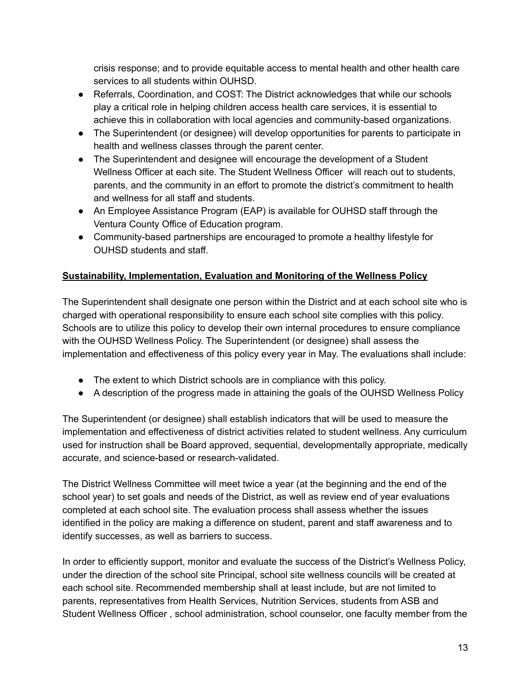crisis response; and to provide equitable access to mental health and other health care services to all students within OUHSD.

- Referrals, Coordination, and COST: The District acknowledges that while our schools play a critical role in helping children access health care services, it is essential to achieve this in collaboration with local agencies and community-based organizations.
- The Superintendent (or designee) will develop opportunities for parents to participate in health and wellness classes through the parent center.
- The Superintendent and designee will encourage the development of a Student Wellness Officer at each site. The Student Wellness Officer will reach out to students, parents, and the community in an effort to promote the district's commitment to health and wellness for all staff and students.
- An Employee Assistance Program (EAP) is available for OUHSD staff through the Ventura County Office of Education program.
- Community-based partnerships are encouraged to promote a healthy lifestyle for OUHSD students and staff.

## **Sustainability, Implementation, Evaluation and Monitoring of the Wellness Policy**

The Superintendent shall designate one person within the District and at each school site who is charged with operational responsibility to ensure each school site complies with this policy. Schools are to utilize this policy to develop their own internal procedures to ensure compliance with the OUHSD Wellness Policy. The Superintendent (or designee) shall assess the implementation and effectiveness of this policy every year in May. The evaluations shall include:

- The extent to which District schools are in compliance with this policy.
- A description of the progress made in attaining the goals of the OUHSD Wellness Policy

The Superintendent (or designee) shall establish indicators that will be used to measure the implementation and effectiveness of district activities related to student wellness. Any curriculum used for instruction shall be Board approved, sequential, developmentally appropriate, medically accurate, and science-based or research-validated.

The District Wellness Committee will meet twice a year (at the beginning and the end of the school year) to set goals and needs of the District, as well as review end of year evaluations completed at each school site. The evaluation process shall assess whether the issues identified in the policy are making a difference on student, parent and staff awareness and to identify successes, as well as barriers to success.

In order to efficiently support, monitor and evaluate the success of the District's Wellness Policy, under the direction of the school site Principal, school site wellness councils will be created at each school site. Recommended membership shall at least include, but are not limited to parents, representatives from Health Services, Nutrition Services, students from ASB and Student Wellness Officer , school administration, school counselor, one faculty member from the